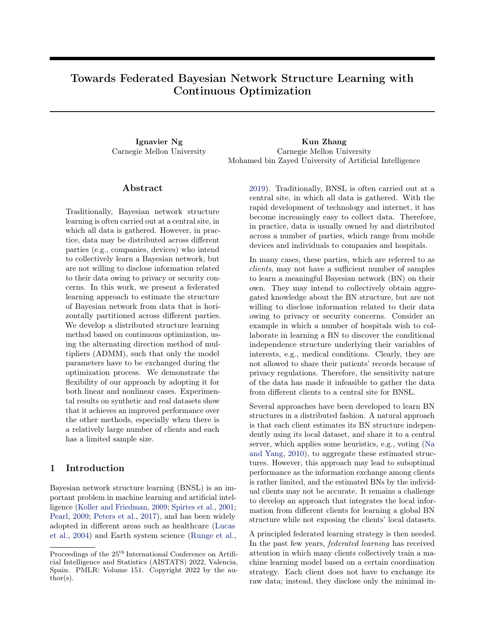# Towards Federated Bayesian Network Structure Learning with Continuous Optimization

Ignavier Ng Kun Zhang Carnegie Mellon University Carnegie Mellon University Mohamed bin Zayed University of Artificial Intelligence

## ${\rm Abstract}$

Traditionally, Bayesian network structure learning is often carried out at a central site, in which all data is gathered. However, in practice, data may be distributed across different parties (e.g., companies, devices) who intend to collectively learn a Bayesian network, but are not willing to disclose information related to their data owing to privacy or security concerns. In this work, we present a federated learning approach to estimate the structure of Bayesian network from data that is horizontally partitioned across different parties. We develop a distributed structure learning method based on continuous optimization, using the alternating direction method of multipliers (ADMM), such that only the model parameters have to be exchanged during the optimization process. We demonstrate the flexibility of our approach by adopting it for both linear and nonlinear cases. Experimental results on synthetic and real datasets show that it achieves an improved performance over the other methods, especially when there is a relatively large number of clients and each has a limited sample size.

# 1 Introduction

Bayesian network structure learning (BNSL) is an important problem in machine learning and artificial intelligence [\(Koller and Friedman,](#page-10-0) [2009;](#page-10-0) [Spirtes et al.,](#page-11-0) [2001;](#page-11-0) [Pearl,](#page-10-1) [2009;](#page-10-1) [Peters et al.,](#page-11-1) [2017\)](#page-11-1), and has been widely adopted in different areas such as healthcare [\(Lucas](#page-10-2) [et al.,](#page-10-2) [2004\)](#page-10-2) and Earth system science [\(Runge et al.,](#page-11-2) [2019\)](#page-11-2). Traditionally, BNSL is often carried out at a central site, in which all data is gathered. With the rapid development of technology and internet, it has become increasingly easy to collect data. Therefore, in practice, data is usually owned by and distributed across a number of parties, which range from mobile devices and individuals to companies and hospitals.

In many cases, these parties, which are referred to as clients, may not have a sufficient number of samples to learn a meaningful Bayesian network (BN) on their own. They may intend to collectively obtain aggregated knowledge about the BN structure, but are not willing to disclose information related to their data owing to privacy or security concerns. Consider an example in which a number of hospitals wish to collaborate in learning a BN to discover the conditional independence structure underlying their variables of interests, e.g., medical conditions. Clearly, they are not allowed to share their patients' records because of privacy regulations. Therefore, the sensitivity nature of the data has made it infeasible to gather the data from different clients to a central site for BNSL.

Several approaches have been developed to learn BN structures in a distributed fashion. A natural approach is that each client estimates its BN structure independently using its local dataset, and share it to a central server, which applies some heuristics, e.g., voting [\(Na](#page-10-3) [and Yang,](#page-10-3) [2010\)](#page-10-3), to aggregate these estimated structures. However, this approach may lead to suboptimal performance as the information exchange among clients is rather limited, and the estimated BNs by the individual clients may not be accurate. It remains a challenge to develop an approach that integrates the local information from different clients for learning a global BN structure while not exposing the clients' local datasets.

A principled federated learning strategy is then needed. In the past few years, federated learning has received attention in which many clients collectively train a machine learning model based on a certain coordination strategy. Each client does not have to exchange its raw data; instead, they disclose only the minimal in-

Proceedings of the  $25<sup>th</sup>$  International Conference on Artificial Intelligence and Statistics (AISTATS) 2022, Valencia, Spain. PMLR: Volume 151. Copyright 2022 by the au- $\text{thor}(s)$ .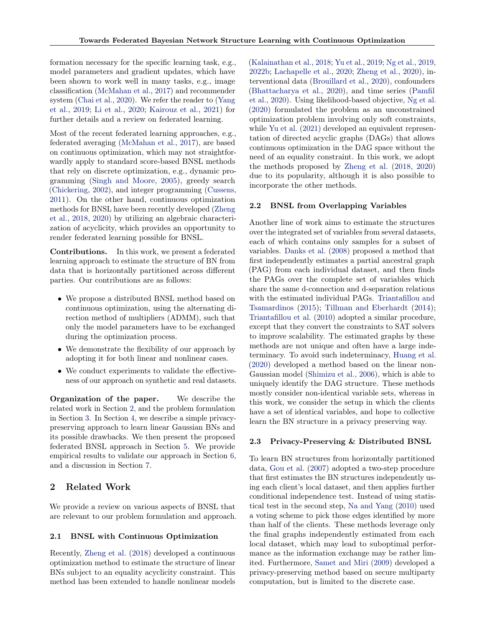formation necessary for the specific learning task, e.g., model parameters and gradient updates, which have been shown to work well in many tasks, e.g., image classification [\(McMahan et al.,](#page-10-4) [2017\)](#page-10-4) and recommender system [\(Chai et al.,](#page-9-0) [2020\)](#page-9-0). We refer the reader to [\(Yang](#page-11-3) [et al.,](#page-11-3) [2019;](#page-11-3) [Li et al.,](#page-10-5) [2020;](#page-10-5) [Kairouz et al.,](#page-10-6) [2021\)](#page-10-6) for further details and a review on federated learning.

Most of the recent federated learning approaches, e.g., federated averaging [\(McMahan et al.,](#page-10-4) [2017\)](#page-10-4), are based on continuous optimization, which may not straightforwardly apply to standard score-based BNSL methods that rely on discrete optimization, e.g., dynamic programming [\(Singh and Moore,](#page-11-4) [2005\)](#page-11-4), greedy search [\(Chickering,](#page-9-1) [2002\)](#page-9-1), and integer programming [\(Cussens,](#page-9-2) [2011\)](#page-9-2). On the other hand, continuous optimization methods for BNSL have been recently developed [\(Zheng](#page-12-0) [et al.,](#page-12-0) [2018,](#page-12-0) [2020\)](#page-12-1) by utilizing an algebraic characterization of acyclicity, which provides an opportunity to render federated learning possible for BNSL.

Contributions. In this work, we present a federated learning approach to estimate the structure of BN from data that is horizontally partitioned across different parties. Our contributions are as follows:

- We propose a distributed BNSL method based on continuous optimization, using the alternating direction method of multipliers (ADMM), such that only the model parameters have to be exchanged during the optimization process.
- We demonstrate the flexibility of our approach by adopting it for both linear and nonlinear cases.
- We conduct experiments to validate the effectiveness of our approach on synthetic and real datasets.

Organization of the paper. We describe the related work in Section [2,](#page-1-0) and the problem formulation in Section [3.](#page-2-0) In Section [4,](#page-2-1) we describe a simple privacypreserving approach to learn linear Gaussian BNs and its possible drawbacks. We then present the proposed federated BNSL approach in Section [5.](#page-3-0) We provide empirical results to validate our approach in Section [6,](#page-5-0) and a discussion in Section [7.](#page-8-0)

# <span id="page-1-0"></span>2 Related Work

We provide a review on various aspects of BNSL that are relevant to our problem formulation and approach.

#### <span id="page-1-2"></span>2.1 BNSL with Continuous Optimization

Recently, [Zheng et al.](#page-12-0) [\(2018\)](#page-12-0) developed a continuous optimization method to estimate the structure of linear BNs subject to an equality acyclicity constraint. This method has been extended to handle nonlinear models [\(Kalainathan et al.,](#page-10-7) [2018;](#page-10-7) [Yu et al.,](#page-12-2) [2019;](#page-12-2) [Ng et al.,](#page-10-8) [2019,](#page-10-8) [2022b;](#page-10-9) [Lachapelle et al.,](#page-10-10) [2020;](#page-10-10) [Zheng et al.,](#page-12-1) [2020\)](#page-12-1), interventional data [\(Brouillard et al.,](#page-9-3) [2020\)](#page-9-3), confounders [\(Bhattacharya et al.,](#page-9-4) [2020\)](#page-9-4), and time series [\(Pamfil](#page-10-11) [et al.,](#page-10-11) [2020\)](#page-10-11). Using likelihood-based objective, [Ng et al.](#page-10-12) [\(2020\)](#page-10-12) formulated the problem as an unconstrained optimization problem involving only soft constraints, while [Yu et al.](#page-12-3)  $(2021)$  developed an equivalent representation of directed acyclic graphs (DAGs) that allows continuous optimization in the DAG space without the need of an equality constraint. In this work, we adopt the methods proposed by [Zheng et al.](#page-12-0) [\(2018,](#page-12-0) [2020\)](#page-12-1) due to its popularity, although it is also possible to incorporate the other methods.

#### <span id="page-1-3"></span>2.2 BNSL from Overlapping Variables

Another line of work aims to estimate the structures over the integrated set of variables from several datasets, each of which contains only samples for a subset of variables. [Danks et al.](#page-9-5) [\(2008\)](#page-9-5) proposed a method that first independently estimates a partial ancestral graph (PAG) from each individual dataset, and then finds the PAGs over the complete set of variables which share the same d-connection and d-separation relations with the estimated individual PAGs. [Triantafillou and](#page-11-5) [Tsamardinos](#page-11-5) [\(2015\)](#page-11-5); [Tillman and Eberhardt](#page-11-6) [\(2014\)](#page-11-6); [Triantafillou et al.](#page-11-7) [\(2010\)](#page-11-7) adopted a similar procedure, except that they convert the constraints to SAT solvers to improve scalability. The estimated graphs by these methods are not unique and often have a large indeterminacy. To avoid such indeterminacy, [Huang et al.](#page-10-13) [\(2020\)](#page-10-13) developed a method based on the linear non-Gaussian model [\(Shimizu et al.,](#page-11-8) [2006\)](#page-11-8), which is able to uniquely identify the DAG structure. These methods mostly consider non-identical variable sets, whereas in this work, we consider the setup in which the clients have a set of identical variables, and hope to collective learn the BN structure in a privacy preserving way.

#### <span id="page-1-1"></span>2.3 Privacy-Preserving & Distributed BNSL

To learn BN structures from horizontally partitioned data, [Gou et al.](#page-9-6) [\(2007\)](#page-9-6) adopted a two-step procedure that first estimates the BN structures independently using each client's local dataset, and then applies further conditional independence test. Instead of using statistical test in the second step, [Na and Yang](#page-10-3) [\(2010\)](#page-10-3) used a voting scheme to pick those edges identified by more than half of the clients. These methods leverage only the final graphs independently estimated from each local dataset, which may lead to suboptimal performance as the information exchange may be rather limited. Furthermore, [Samet and Miri](#page-11-9) [\(2009\)](#page-11-9) developed a privacy-preserving method based on secure multiparty computation, but is limited to the discrete case.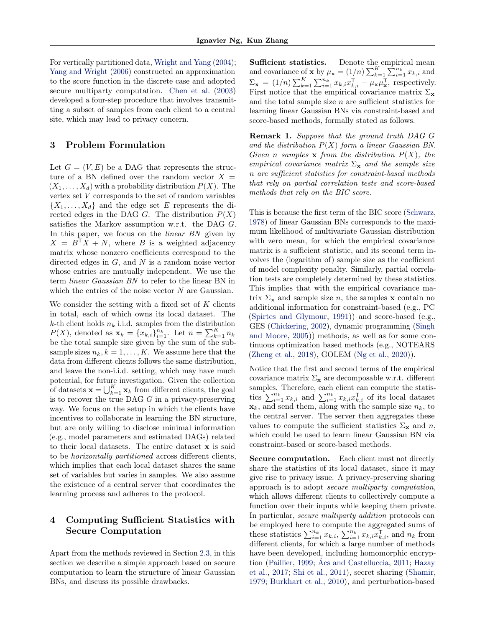For vertically partitioned data, [Wright and Yang](#page-11-10) [\(2004\)](#page-11-10); [Yang and Wright](#page-11-11) [\(2006\)](#page-11-11) constructed an approximation to the score function in the discrete case and adopted secure multiparty computation. [Chen et al.](#page-9-7) [\(2003\)](#page-9-7) developed a four-step procedure that involves transmitting a subset of samples from each client to a central site, which may lead to privacy concern.

## <span id="page-2-0"></span>3 Problem Formulation

Let  $G = (V, E)$  be a DAG that represents the structure of a BN defined over the random vector  $X =$  $(X_1, \ldots, X_d)$  with a probability distribution  $P(X)$ . The vertex set V corresponds to the set of random variables  $\{X_1, \ldots, X_d\}$  and the edge set E represents the directed edges in the DAG G. The distribution  $P(X)$ satisfies the Markov assumption w.r.t. the DAG G. In this paper, we focus on the *linear BN* given by  $X = B^{T}X + N$ , where B is a weighted adjacency matrix whose nonzero coefficients correspond to the directed edges in  $G$ , and  $N$  is a random noise vector whose entries are mutually independent. We use the term linear Gaussian BN to refer to the linear BN in which the entries of the noise vector  $N$  are Gaussian.

We consider the setting with a fixed set of  $K$  clients in total, each of which owns its local dataset. The k-th client holds  $n_k$  i.i.d. samples from the distribution  $P(X)$ , denoted as  $\mathbf{x}_k = \{x_{k,i}\}_{i=1}^{n_k}$ . Let  $n = \sum_{k=1}^{K} n_k$ be the total sample size given by the sum of the subsample sizes  $n_k, k = 1, \ldots, K$ . We assume here that the data from different clients follows the same distribution, and leave the non-i.i.d. setting, which may have much potential, for future investigation. Given the collection of datasets  $\mathbf{x} = \bigcup_{k=1}^{K} \mathbf{x}_k$  from different clients, the goal is to recover the true DAG  $G$  in a privacy-preserving way. We focus on the setup in which the clients have incentives to collaborate in learning the BN structure, but are only willing to disclose minimal information (e.g., model parameters and estimated DAGs) related to their local datasets. The entire dataset x is said to be horizontally partitioned across different clients, which implies that each local dataset shares the same set of variables but varies in samples. We also assume the existence of a central server that coordinates the learning process and adheres to the protocol.

# <span id="page-2-1"></span>4 Computing Sufficient Statistics with Secure Computation

Apart from the methods reviewed in Section [2.3,](#page-1-1) in this section we describe a simple approach based on secure computation to learn the structure of linear Gaussian BNs, and discuss its possible drawbacks.

Sufficient statistics. Denote the empirical mean and covariance of **x** by  $\mu_{\mathbf{x}} = (1/n) \sum_{k=1}^{K} \sum_{i=1}^{n_k} x_{k,i}$  and  $\Sigma_{\mathbf{x}} = (1/n) \sum_{k=1}^{K} \sum_{i=1}^{n_k} x_{k,i} x_{k,i}^{\mathsf{T}} - \mu_{\mathbf{x}} \mu_{\mathbf{x}}^{\mathsf{T}}$ , respectively. First notice that the empirical covariance matrix  $\Sigma_{\mathbf{x}}$ and the total sample size  $n$  are sufficient statistics for learning linear Gaussian BNs via constraint-based and score-based methods, formally stated as follows.

Remark 1. Suppose that the ground truth DAG G and the distribution  $P(X)$  form a linear Gaussian BN. Given n samples  $x$  from the distribution  $P(X)$ , the empirical covariance matrix  $\Sigma_{\mathbf{x}}$  and the sample size n are sufficient statistics for constraint-based methods that rely on partial correlation tests and score-based methods that rely on the BIC score.

This is because the first term of the BIC score [\(Schwarz,](#page-11-12) [1978\)](#page-11-12) of linear Gaussian BNs corresponds to the maximum likelihood of multivariate Gaussian distribution with zero mean, for which the empirical covariance matrix is a sufficient statistic, and its second term involves the (logarithm of) sample size as the coefficient of model complexity penalty. Similarly, partial correlation tests are completely determined by these statistics. This implies that with the empirical covariance matrix  $\Sigma_{\mathbf{x}}$  and sample size *n*, the samples **x** contain no additional information for constraint-based (e.g., PC [\(Spirtes and Glymour,](#page-11-13) [1991\)](#page-11-13)) and score-based (e.g., GES [\(Chickering,](#page-9-1) [2002\)](#page-9-1), dynamic programming [\(Singh](#page-11-4) [and Moore,](#page-11-4) [2005\)](#page-11-4)) methods, as well as for some continuous optimization based methods (e.g., NOTEARS [\(Zheng et al.,](#page-12-0) [2018\)](#page-12-0), GOLEM [\(Ng et al.,](#page-10-12) [2020\)](#page-10-12)).

Notice that the first and second terms of the empirical covariance matrix  $\Sigma_{\mathbf{x}}$  are decomposable w.r.t. different samples. Therefore, each client can compute the statistics  $\sum_{i=1}^{n_k} x_{k,i}$  and  $\sum_{i=1}^{n_k} x_{k,i} x_{k,i}^{\mathsf{T}}$  of its local dataset  $\mathbf{x}_k$ , and send them, along with the sample size  $n_k$ , to the central server. The server then aggregates these values to compute the sufficient statistics  $\Sigma_{\mathbf{x}}$  and n, which could be used to learn linear Gaussian BN via constraint-based or score-based methods.

Secure computation. Each client must not directly share the statistics of its local dataset, since it may give rise to privacy issue. A privacy-preserving sharing approach is to adopt secure multiparty computation, which allows different clients to collectively compute a function over their inputs while keeping them private. In particular, *secure multiparty addition* protocols can be employed here to compute the aggregated sums of these statistics  $\sum_{i=1}^{n_k} x_{k,i}$ ,  $\sum_{i=1}^{n_k} x_{k,i} \widetilde{x}_{k,i}^{\mathsf{T}}$ , and  $n_k$  from different clients, for which a large number of methods have been developed, including homomorphic encryption [\(Paillier,](#page-10-14) [1999;](#page-10-14) [Ács and Castelluccia,](#page-9-8) [2011;](#page-9-8) [Hazay](#page-9-9) [et al.,](#page-9-9) [2017;](#page-9-9) [Shi et al.,](#page-11-14) [2011\)](#page-11-14), secret sharing [\(Shamir,](#page-11-15) [1979;](#page-11-15) [Burkhart et al.,](#page-9-10) [2010\)](#page-9-10), and perturbation-based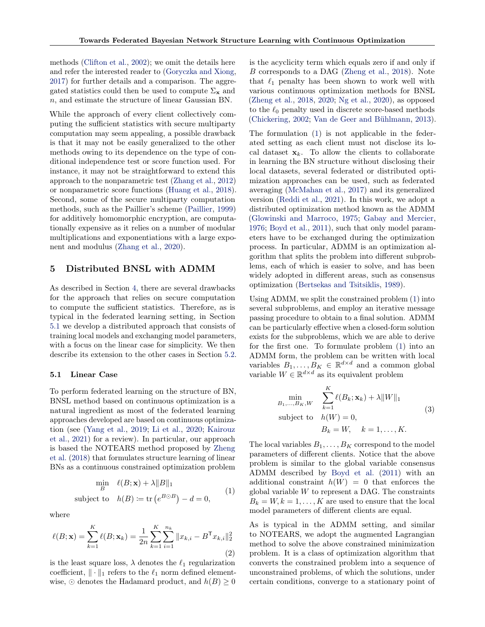methods [\(Clifton et al.,](#page-9-11) [2002\)](#page-9-11); we omit the details here and refer the interested reader to [\(Goryczka and Xiong,](#page-9-12) [2017\)](#page-9-12) for further details and a comparison. The aggregated statistics could then be used to compute  $\Sigma_{\mathbf{x}}$  and n, and estimate the structure of linear Gaussian BN.

While the approach of every client collectively computing the sufficient statistics with secure multiparty computation may seem appealing, a possible drawback is that it may not be easily generalized to the other methods owing to its dependence on the type of conditional independence test or score function used. For instance, it may not be straightforward to extend this approach to the nonparametric test [\(Zhang et al.,](#page-12-4) [2012\)](#page-12-4) or nonparametric score functions [\(Huang et al.,](#page-10-15) [2018\)](#page-10-15). Second, some of the secure multiparty computation methods, such as the Paillier's scheme [\(Paillier,](#page-10-14) [1999\)](#page-10-14) for additively homomorphic encryption, are computationally expensive as it relies on a number of modular multiplications and exponentiations with a large exponent and modulus [\(Zhang et al.,](#page-12-5) [2020\)](#page-12-5).

## <span id="page-3-0"></span>5 Distributed BNSL with ADMM

As described in Section [4,](#page-2-1) there are several drawbacks for the approach that relies on secure computation to compute the sufficient statistics. Therefore, as is typical in the federated learning setting, in Section [5.1](#page-3-1) we develop a distributed approach that consists of training local models and exchanging model parameters, with a focus on the linear case for simplicity. We then describe its extension to the other cases in Section [5.2.](#page-5-1)

## <span id="page-3-1"></span>5.1 Linear Case

To perform federated learning on the structure of BN, BNSL method based on continuous optimization is a natural ingredient as most of the federated learning approaches developed are based on continuous optimization (see [\(Yang et al.,](#page-11-3) [2019;](#page-11-3) [Li et al.,](#page-10-5) [2020;](#page-10-5) [Kairouz](#page-10-6) [et al.,](#page-10-6) [2021\)](#page-10-6) for a review). In particular, our approach is based the NOTEARS method proposed by [Zheng](#page-12-0) [et al.](#page-12-0) [\(2018\)](#page-12-0) that formulates structure learning of linear BNs as a continuous constrained optimization problem

<span id="page-3-2"></span>
$$
\min_{B} \quad \ell(B; \mathbf{x}) + \lambda \|B\|_1
$$
\nsubject to 
$$
h(B) := \text{tr}(e^{B \odot B}) - d = 0,
$$
\n(1)

where

<span id="page-3-3"></span>
$$
\ell(B; \mathbf{x}) = \sum_{k=1}^{K} \ell(B; \mathbf{x}_k) = \frac{1}{2n} \sum_{k=1}^{K} \sum_{i=1}^{n_k} ||x_{k,i} - B^{\mathsf{T}} x_{k,i}||_2^2
$$
\n(2)

is the least square loss,  $\lambda$  denotes the  $\ell_1$  regularization coefficient,  $\|\cdot\|_1$  refers to the  $\ell_1$  norm defined elementwise,  $\odot$  denotes the Hadamard product, and  $h(B) \geq 0$  is the acyclicity term which equals zero if and only if B corresponds to a DAG [\(Zheng et al.,](#page-12-0) [2018\)](#page-12-0). Note that  $\ell_1$  penalty has been shown to work well with various continuous optimization methods for BNSL [\(Zheng et al.,](#page-12-0) [2018,](#page-12-0) [2020;](#page-12-1) [Ng et al.,](#page-10-12) [2020\)](#page-10-12), as opposed to the  $\ell_0$  penalty used in discrete score-based methods [\(Chickering,](#page-9-1) [2002;](#page-9-1) [Van de Geer and Bühlmann,](#page-11-16) [2013\)](#page-11-16).

The formulation [\(1\)](#page-3-2) is not applicable in the federated setting as each client must not disclose its local dataset  $x_k$ . To allow the clients to collaborate in learning the BN structure without disclosing their local datasets, several federated or distributed optimization approaches can be used, such as federated averaging [\(McMahan et al.,](#page-10-4) [2017\)](#page-10-4) and its generalized version [\(Reddi et al.,](#page-11-17) [2021\)](#page-11-17). In this work, we adopt a distributed optimization method known as the ADMM [\(Glowinski and Marroco,](#page-9-13) [1975;](#page-9-13) [Gabay and Mercier,](#page-9-14) [1976;](#page-9-14) [Boyd et al.,](#page-9-15) [2011\)](#page-9-15), such that only model parameters have to be exchanged during the optimization process. In particular, ADMM is an optimization algorithm that splits the problem into different subproblems, each of which is easier to solve, and has been widely adopted in different areas, such as consensus optimization [\(Bertsekas and Tsitsiklis,](#page-9-16) [1989\)](#page-9-16).

Using ADMM, we split the constrained problem [\(1\)](#page-3-2) into several subproblems, and employ an iterative message passing procedure to obtain to a final solution. ADMM can be particularly effective when a closed-form solution exists for the subproblems, which we are able to derive for the first one. To formulate problem [\(1\)](#page-3-2) into an ADMM form, the problem can be written with local variables  $B_1, \ldots, B_K \in \mathbb{R}^{d \times d}$  and a common global variable  $W \in \mathbb{R}^{d \times d}$  as its equivalent problem

<span id="page-3-4"></span>
$$
\min_{B_1,\dots,B_K,W} \sum_{k=1}^K \ell(B_k; \mathbf{x}_k) + \lambda ||W||_1
$$
\nsubject to\n
$$
h(W) = 0,
$$
\n
$$
B_k = W, \quad k = 1, \dots, K.
$$
\n(3)

The local variables  $B_1, \ldots, B_K$  correspond to the model parameters of different clients. Notice that the above problem is similar to the global variable consensus ADMM described by [Boyd et al.](#page-9-15) [\(2011\)](#page-9-15) with an additional constraint  $h(W) = 0$  that enforces the global variable  $W$  to represent a DAG. The constraints  $B_k = W, k = 1, \ldots, K$  are used to ensure that the local model parameters of different clients are equal.

As is typical in the ADMM setting, and similar to NOTEARS, we adopt the augmented Lagrangian method to solve the above constrained minimization problem. It is a class of optimization algorithm that converts the constrained problem into a sequence of unconstrained problems, of which the solutions, under certain conditions, converge to a stationary point of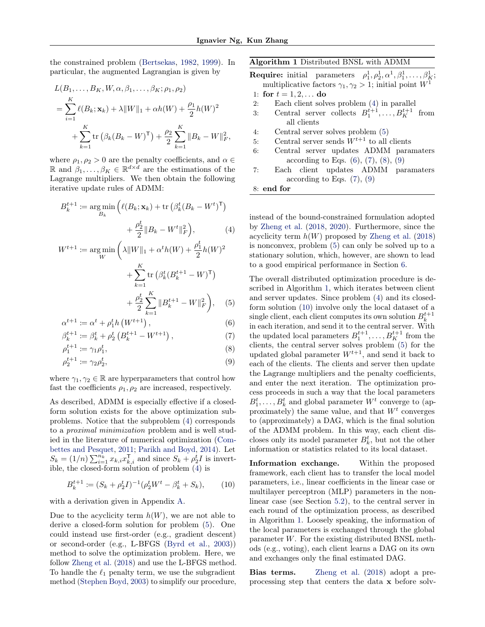the constrained problem [\(Bertsekas,](#page-9-17) [1982,](#page-9-17) [1999\)](#page-9-18). In particular, the augmented Lagrangian is given by

$$
L(B_1, ..., B_K, W, \alpha, \beta_1, ..., \beta_K; \rho_1, \rho_2)
$$
  
= 
$$
\sum_{i=1}^K \ell(B_k; \mathbf{x}_k) + \lambda ||W||_1 + \alpha h(W) + \frac{\rho_1}{2} h(W)^2
$$
  
+ 
$$
\sum_{k=1}^K \text{tr}(\beta_k (B_k - W)^T) + \frac{\rho_2}{2} \sum_{k=1}^K ||B_k - W||_F^2,
$$

where  $\rho_1, \rho_2 > 0$  are the penalty coefficients, and  $\alpha \in$ R and  $\beta_1, \ldots, \beta_K \in \mathbb{R}^{d \times d}$  are the estimations of the Lagrange multipliers. We then obtain the following iterative update rules of ADMM:

$$
B_k^{t+1} := \underset{B_k}{\text{arg min}} \left( \ell(B_k; \mathbf{x}_k) + \text{tr} \left( \beta_k^t (B_k - W^t)^{\mathsf{T}} \right) + \frac{\rho_2^t}{2} \| B_k - W^t \|_F^2 \right), \tag{4}
$$

$$
W^{t+1} := \underset{W}{\arg\min} \left( \lambda \|W\|_{1} + \alpha^{t} h(W) + \frac{\rho_{1}^{t}}{2} h(W)^{2} + \sum_{k=1}^{K} \text{tr} \left( \beta_{k}^{t} (B_{k}^{t+1} - W)^{\mathsf{T}} \right) + \frac{\rho_{2}^{t}}{2} \sum_{k=1}^{K} \|B_{k}^{t+1} - W\|_{F}^{2} \right), \quad (5)
$$

$$
\alpha^{t+1} \coloneqq \alpha^t + \rho_1^t h\left(W^{t+1}\right),\tag{6}
$$

$$
\beta_k^{t+1} := \beta_k^t + \rho_2^t \left( B_k^{t+1} - W^{t+1} \right),\tag{7}
$$

$$
\rho_1^{t+1} \coloneqq \gamma_1 \rho_1^t,\tag{8}
$$

$$
\rho_2^{t+1} \coloneqq \gamma_2 \rho_2^t,\tag{9}
$$

where  $\gamma_1, \gamma_2 \in \mathbb{R}$  are hyperparameters that control how fast the coefficients  $\rho_1, \rho_2$  are increased, respectively.

As described, ADMM is especially effective if a closedform solution exists for the above optimization subproblems. Notice that the subproblem [\(4\)](#page-4-0) corresponds to a proximal minimization problem and is well studied in the literature of numerical optimization [\(Com](#page-9-19)[bettes and Pesquet,](#page-9-19) [2011;](#page-9-19) [Parikh and Boyd,](#page-10-16) [2014\)](#page-10-16). Let  $S_k = (1/n) \sum_{i=1}^{n_k} x_{k,i} x_{k,i}^{\mathsf{T}}$  and since  $S_k + \rho_2^t I$  is invertible, the closed-form solution of problem [\(4\)](#page-4-0) is

<span id="page-4-7"></span>
$$
B_k^{t+1} := (S_k + \rho_2^t I)^{-1} (\rho_2^t W^t - \beta_k^t + S_k), \qquad (10)
$$

with a derivation given in Appendix [A.](#page-13-0)

Due to the acyclicity term  $h(W)$ , we are not able to derive a closed-form solution for problem [\(5\)](#page-4-1). One could instead use first-order (e.g., gradient descent) or second-order (e.g., L-BFGS [\(Byrd et al.,](#page-9-20) [2003\)](#page-9-20)) method to solve the optimization problem. Here, we follow [Zheng et al.](#page-12-0) [\(2018\)](#page-12-0) and use the L-BFGS method. To handle the  $\ell_1$  penalty term, we use the subgradient method [\(Stephen Boyd,](#page-11-18) [2003\)](#page-11-18) to simplify our procedure, <span id="page-4-6"></span>Algorithm 1 Distributed BNSL with ADMM

**Require:** initial parameters  $\rho_1^1, \rho_2^1, \alpha^1, \beta_1^1, \ldots, \beta_K^1;$ multiplicative factors  $\gamma_1, \gamma_2 > 1$ ; initial point  $W^{\bar{1}}$ 

1: for 
$$
t = 1, 2, ...
$$
 do

- 2: Each client solves problem [\(4\)](#page-4-0) in parallel
- 3: Central server collects  $B_1^{t+1}, \ldots, B_K^{t+1}$  from all clients
- 4: Central server solves problem [\(5\)](#page-4-1)
- 5: Central server sends  $W^{t+1}$  to all clients
- 6: Central server updates ADMM paramaters according to Eqs.  $(6)$ ,  $(7)$ ,  $(8)$ ,  $(9)$
- 7: Each client updates ADMM paramaters according to Eqs.  $(7), (9)$  $(7), (9)$  $(7), (9)$

8: end for

<span id="page-4-0"></span>instead of the bound-constrained formulation adopted by [Zheng et al.](#page-12-0) [\(2018,](#page-12-0) [2020\)](#page-12-1). Furthermore, since the acyclicity term  $h(W)$  proposed by [Zheng et al.](#page-12-0) [\(2018\)](#page-12-0) is nonconvex, problem [\(5\)](#page-4-1) can only be solved up to a stationary solution, which, however, are shown to lead to a good empirical performance in Section [6.](#page-5-0)

<span id="page-4-5"></span><span id="page-4-4"></span><span id="page-4-3"></span><span id="page-4-2"></span><span id="page-4-1"></span>The overall distributed optimization procedure is described in Algorithm [1,](#page-4-6) which iterates between client and server updates. Since problem [\(4\)](#page-4-0) and its closedform solution [\(10\)](#page-4-7) involve only the local dataset of a single client, each client computes its own solution  $B_k^{t+1}$ in each iteration, and send it to the central server. With the updated local parameters  $B_1^{t+1}, \ldots, B_K^{t+1}$  from the clients, the central server solves problem [\(5\)](#page-4-1) for the updated global parameter  $W^{t+1}$ , and send it back to each of the clients. The clients and server then update the Lagrange multipliers and the penalty coefficients, and enter the next iteration. The optimization process proceeds in such a way that the local parameters  $B_1^t, \ldots, B_k^t$  and global parameter  $W^t$  converge to (approximately) the same value, and that  $W^t$  converges to (approximately) a DAG, which is the final solution of the ADMM problem. In this way, each client discloses only its model parameter  $B_k^t$ , but not the other information or statistics related to its local dataset.

Information exchange. Within the proposed framework, each client has to transfer the local model parameters, i.e., linear coefficients in the linear case or multilayer perceptron (MLP) parameters in the nonlinear case (see Section [5.2\)](#page-5-1), to the central server in each round of the optimization process, as described in Algorithm [1.](#page-4-6) Loosely speaking, the information of the local parameters is exchanged through the global parameter W. For the existing distributed BNSL methods (e.g., voting), each client learns a DAG on its own and exchanges only the final estimated DAG.

Bias terms. [Zheng et al.](#page-12-0) [\(2018\)](#page-12-0) adopt a preprocessing step that centers the data x before solv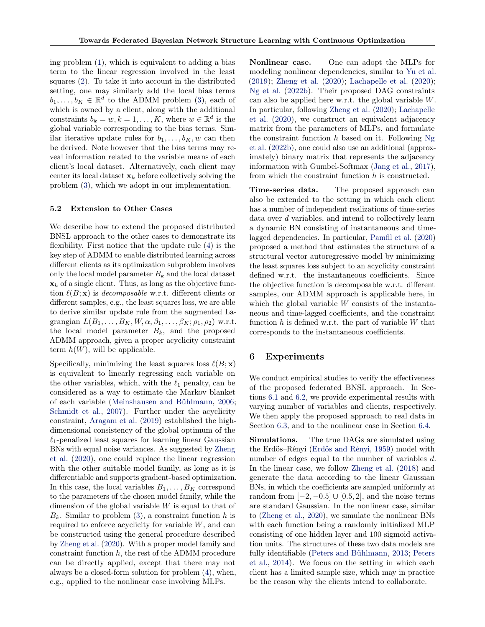ing problem [\(1\)](#page-3-2), which is equivalent to adding a bias term to the linear regression involved in the least squares [\(2\)](#page-3-3). To take it into account in the distributed setting, one may similarly add the local bias terms  $b_1, \ldots, b_K \in \mathbb{R}^d$  to the ADMM problem [\(3\)](#page-3-4), each of which is owned by a client, along with the additional constraints  $b_k = w, k = 1, ..., K$ , where  $w \in \mathbb{R}^d$  is the global variable corresponding to the bias terms. Similar iterative update rules for  $b_1, \ldots, b_K, w$  can then be derived. Note however that the bias terms may reveal information related to the variable means of each client's local dataset. Alternatively, each client may center its local dataset  $x_k$  before collectively solving the problem [\(3\)](#page-3-4), which we adopt in our implementation.

#### <span id="page-5-1"></span>5.2 Extension to Other Cases

We describe how to extend the proposed distributed BNSL approach to the other cases to demonstrate its flexibility. First notice that the update rule [\(4\)](#page-4-0) is the key step of ADMM to enable distributed learning across different clients as its optimization subproblem involves only the local model parameter  $B_k$  and the local dataset  $\mathbf{x}_k$  of a single client. Thus, as long as the objective function  $\ell(B; x)$  is decomposable w.r.t. different clients or different samples, e.g., the least squares loss, we are able to derive similar update rule from the augmented Lagrangian  $L(B_1, \ldots, B_K, W, \alpha, \beta_1, \ldots, \beta_K; \rho_1, \rho_2)$  w.r.t. the local model parameter  $B_k$ , and the proposed ADMM approach, given a proper acyclicity constraint term  $h(W)$ , will be applicable.

Specifically, minimizing the least squares loss  $\ell(B; \mathbf{x})$ is equivalent to linearly regressing each variable on the other variables, which, with the  $\ell_1$  penalty, can be considered as a way to estimate the Markov blanket of each variable [\(Meinshausen and Bühlmann,](#page-10-17) [2006;](#page-10-17) [Schmidt et al.,](#page-11-19) [2007\)](#page-11-19). Further under the acyclicity constraint, [Aragam et al.](#page-9-21) [\(2019\)](#page-9-21) established the highdimensional consistency of the global optimum of the  $\ell_1$ -penalized least squares for learning linear Gaussian BNs with equal noise variances. As suggested by [Zheng](#page-12-1) [et al.](#page-12-1) [\(2020\)](#page-12-1), one could replace the linear regression with the other suitable model family, as long as it is differentiable and supports gradient-based optimization. In this case, the local variables  $B_1, \ldots, B_K$  correspond to the parameters of the chosen model family, while the dimension of the global variable  $W$  is equal to that of  $B_k$ . Similar to problem [\(3\)](#page-3-4), a constraint function h is required to enforce acyclicity for variable  $W$ , and can be constructed using the general procedure described by [Zheng et al.](#page-12-1) [\(2020\)](#page-12-1). With a proper model family and constraint function  $h$ , the rest of the ADMM procedure can be directly applied, except that there may not always be a closed-form solution for problem [\(4\)](#page-4-0), when, e.g., applied to the nonlinear case involving MLPs.

Nonlinear case. One can adopt the MLPs for modeling nonlinear dependencies, similar to [Yu et al.](#page-12-2) [\(2019\)](#page-12-2); [Zheng et al.](#page-12-1) [\(2020\)](#page-12-1); [Lachapelle et al.](#page-10-10) [\(2020\)](#page-10-10); [Ng et al.](#page-10-9) [\(2022b\)](#page-10-9). Their proposed DAG constraints can also be applied here w.r.t. the global variable W. In particular, following [Zheng et al.](#page-12-1) [\(2020\)](#page-12-1); [Lachapelle](#page-10-10) [et al.](#page-10-10) [\(2020\)](#page-10-10), we construct an equivalent adjacency matrix from the parameters of MLPs, and formulate the constraint function  $h$  based on it. Following [Ng](#page-10-9) [et al.](#page-10-9) [\(2022b\)](#page-10-9), one could also use an additional (approximately) binary matrix that represents the adjacency information with Gumbel-Softmax [\(Jang et al.,](#page-10-18) [2017\)](#page-10-18), from which the constraint function h is constructed.

Time-series data. The proposed approach can also be extended to the setting in which each client has a number of independent realizations of time-series data over d variables, and intend to collectively learn a dynamic BN consisting of instantaneous and timelagged dependencies. In particular, [Pamfil et al.](#page-10-11) [\(2020\)](#page-10-11) proposed a method that estimates the structure of a structural vector autoregressive model by minimizing the least squares loss subject to an acyclicity constraint defined w.r.t. the instantaneous coefficients. Since the objective function is decomposable w.r.t. different samples, our ADMM approach is applicable here, in which the global variable  $W$  consists of the instantaneous and time-lagged coefficients, and the constraint function  $h$  is defined w.r.t. the part of variable  $W$  that corresponds to the instantaneous coefficients.

## <span id="page-5-0"></span>6 Experiments

We conduct empirical studies to verify the effectiveness of the proposed federated BNSL approach. In Sections [6.1](#page-6-0) and [6.2,](#page-6-1) we provide experimental results with varying number of variables and clients, respectively. We then apply the proposed approach to real data in Section [6.3,](#page-7-0) and to the nonlinear case in Section [6.4.](#page-8-1)

Simulations. The true DAGs are simulated using the Erdös–Rényi [\(Erdös and Rényi,](#page-9-22) [1959\)](#page-9-22) model with number of edges equal to the number of variables d. In the linear case, we follow [Zheng et al.](#page-12-0) [\(2018\)](#page-12-0) and generate the data according to the linear Gaussian BNs, in which the coefficients are sampled uniformly at random from  $[-2, -0.5] \cup [0.5, 2]$ , and the noise terms are standard Gaussian. In the nonlinear case, similar to [\(Zheng et al.,](#page-12-1) [2020\)](#page-12-1), we simulate the nonlinear BNs with each function being a randomly initialized MLP consisting of one hidden layer and 100 sigmoid activation units. The structures of these two data models are fully identifiable [\(Peters and Bühlmann,](#page-10-19) [2013;](#page-10-19) [Peters](#page-11-20) [et al.,](#page-11-20) [2014\)](#page-11-20). We focus on the setting in which each client has a limited sample size, which may in practice be the reason why the clients intend to collaborate.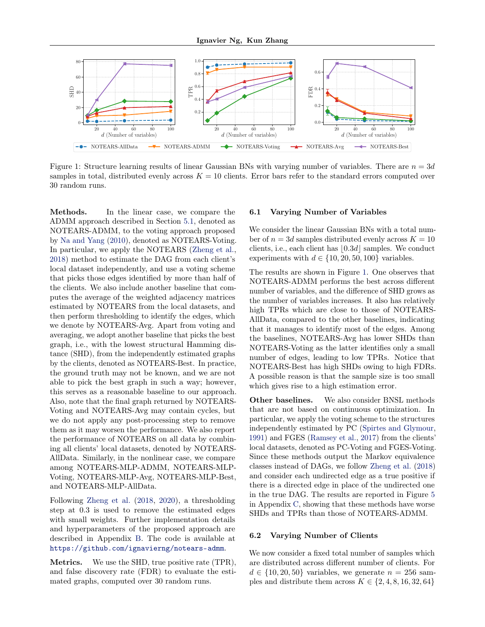<span id="page-6-2"></span>

Figure 1: Structure learning results of linear Gaussian BNs with varying number of variables. There are  $n = 3d$ samples in total, distributed evenly across  $K = 10$  clients. Error bars refer to the standard errors computed over 30 random runs.

Methods. In the linear case, we compare the ADMM approach described in Section [5.1,](#page-3-1) denoted as NOTEARS-ADMM, to the voting approach proposed by [Na and Yang](#page-10-3) [\(2010\)](#page-10-3), denoted as NOTEARS-Voting. In particular, we apply the NOTEARS [\(Zheng et al.,](#page-12-0) [2018\)](#page-12-0) method to estimate the DAG from each client's local dataset independently, and use a voting scheme that picks those edges identified by more than half of the clients. We also include another baseline that computes the average of the weighted adjacency matrices estimated by NOTEARS from the local datasets, and then perform thresholding to identify the edges, which we denote by NOTEARS-Avg. Apart from voting and averaging, we adopt another baseline that picks the best graph, i.e., with the lowest structural Hamming distance (SHD), from the independently estimated graphs by the clients, denoted as NOTEARS-Best. In practice, the ground truth may not be known, and we are not able to pick the best graph in such a way; however, this serves as a reasonable baseline to our approach. Also, note that the final graph returned by NOTEARS-Voting and NOTEARS-Avg may contain cycles, but we do not apply any post-processing step to remove them as it may worsen the performance. We also report the performance of NOTEARS on all data by combining all clients' local datasets, denoted by NOTEARS-AllData. Similarly, in the nonlinear case, we compare among NOTEARS-MLP-ADMM, NOTEARS-MLP-Voting, NOTEARS-MLP-Avg, NOTEARS-MLP-Best, and NOTEARS-MLP-AllData.

Following [Zheng et al.](#page-12-0) [\(2018,](#page-12-0) [2020\)](#page-12-1), a thresholding step at 0.3 is used to remove the estimated edges with small weights. Further implementation details and hyperparameters of the proposed approach are described in Appendix [B.](#page-14-0) The code is available at <https://github.com/ignavierng/notears-admm>.

Metrics. We use the SHD, true positive rate (TPR), and false discovery rate (FDR) to evaluate the estimated graphs, computed over 30 random runs.

#### <span id="page-6-0"></span>6.1 Varying Number of Variables

We consider the linear Gaussian BNs with a total number of  $n = 3d$  samples distributed evenly across  $K = 10$ clients, i.e., each client has  $\vert 0.3d\vert$  samples. We conduct experiments with  $d \in \{10, 20, 50, 100\}$  variables.

The results are shown in Figure [1.](#page-6-2) One observes that NOTEARS-ADMM performs the best across different number of variables, and the difference of SHD grows as the number of variables increases. It also has relatively high TPRs which are close to those of NOTEARS-AllData, compared to the other baselines, indicating that it manages to identify most of the edges. Among the baselines, NOTEARS-Avg has lower SHDs than NOTEARS-Voting as the latter identifies only a small number of edges, leading to low TPRs. Notice that NOTEARS-Best has high SHDs owing to high FDRs. A possible reason is that the sample size is too small which gives rise to a high estimation error.

Other baselines. We also consider BNSL methods that are not based on continuous optimization. In particular, we apply the voting scheme to the structures independently estimated by PC [\(Spirtes and Glymour,](#page-11-13) [1991\)](#page-11-13) and FGES [\(Ramsey et al.,](#page-11-21) [2017\)](#page-11-21) from the clients' local datasets, denoted as PC-Voting and FGES-Voting. Since these methods output the Markov equivalence classes instead of DAGs, we follow [Zheng et al.](#page-12-0) [\(2018\)](#page-12-0) and consider each undirected edge as a true positive if there is a directed edge in place of the undirected one in the true DAG. The results are reported in Figure [5](#page-15-0) in Appendix [C,](#page-14-1) showing that these methods have worse SHDs and TPRs than those of NOTEARS-ADMM.

#### <span id="page-6-1"></span>6.2 Varying Number of Clients

We now consider a fixed total number of samples which are distributed across different number of clients. For  $d \in \{10, 20, 50\}$  variables, we generate  $n = 256$  samples and distribute them across  $K \in \{2, 4, 8, 16, 32, 64\}$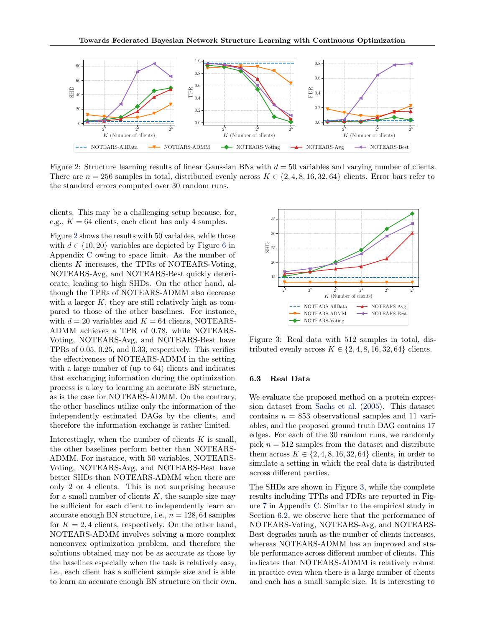<span id="page-7-1"></span>

Figure 2: Structure learning results of linear Gaussian BNs with  $d = 50$  variables and varying number of clients. There are  $n = 256$  samples in total, distributed evenly across  $K \in \{2, 4, 8, 16, 32, 64\}$  clients. Error bars refer to the standard errors computed over 30 random runs.

clients. This may be a challenging setup because, for, e.g.,  $K = 64$  clients, each client has only 4 samples.

Figure [2](#page-7-1) shows the results with 50 variables, while those with  $d \in \{10, 20\}$  variables are depicted by Figure [6](#page-15-1) in Appendix [C](#page-14-1) owing to space limit. As the number of clients K increases, the TPRs of NOTEARS-Voting, NOTEARS-Avg, and NOTEARS-Best quickly deteriorate, leading to high SHDs. On the other hand, although the TPRs of NOTEARS-ADMM also decrease with a larger  $K$ , they are still relatively high as compared to those of the other baselines. For instance, with  $d = 20$  variables and  $K = 64$  clients, NOTEARS-ADMM achieves a TPR of 0.78, while NOTEARS-Voting, NOTEARS-Avg, and NOTEARS-Best have TPRs of 0.05, 0.25, and 0.33, respectively. This verifies the effectiveness of NOTEARS-ADMM in the setting with a large number of (up to 64) clients and indicates that exchanging information during the optimization process is a key to learning an accurate BN structure, as is the case for NOTEARS-ADMM. On the contrary, the other baselines utilize only the information of the independently estimated DAGs by the clients, and therefore the information exchange is rather limited.

Interestingly, when the number of clients  $K$  is small, the other baselines perform better than NOTEARS-ADMM. For instance, with 50 variables, NOTEARS-Voting, NOTEARS-Avg, and NOTEARS-Best have better SHDs than NOTEARS-ADMM when there are only 2 or 4 clients. This is not surprising because for a small number of clients  $K$ , the sample size may be sufficient for each client to independently learn an accurate enough BN structure, i.e.,  $n = 128, 64$  samples for  $K = 2, 4$  clients, respectively. On the other hand, NOTEARS-ADMM involves solving a more complex nonconvex optimization problem, and therefore the solutions obtained may not be as accurate as those by the baselines especially when the task is relatively easy, i.e., each client has a sufficient sample size and is able to learn an accurate enough BN structure on their own.

<span id="page-7-2"></span>

Figure 3: Real data with 512 samples in total, distributed evenly across  $K \in \{2, 4, 8, 16, 32, 64\}$  clients.

### <span id="page-7-0"></span>6.3 Real Data

We evaluate the proposed method on a protein expression dataset from [Sachs et al.](#page-11-22) [\(2005\)](#page-11-22). This dataset contains  $n = 853$  observational samples and 11 variables, and the proposed ground truth DAG contains 17 edges. For each of the 30 random runs, we randomly pick  $n = 512$  samples from the dataset and distribute them across  $K \in \{2, 4, 8, 16, 32, 64\}$  clients, in order to simulate a setting in which the real data is distributed across different parties.

The SHDs are shown in Figure [3,](#page-7-2) while the complete results including TPRs and FDRs are reported in Figure [7](#page-16-0) in Appendix [C.](#page-14-1) Similar to the empirical study in Section [6.2,](#page-6-1) we observe here that the performance of NOTEARS-Voting, NOTEARS-Avg, and NOTEARS-Best degrades much as the number of clients increases, whereas NOTEARS-ADMM has an improved and stable performance across different number of clients. This indicates that NOTEARS-ADMM is relatively robust in practice even when there is a large number of clients and each has a small sample size. It is interesting to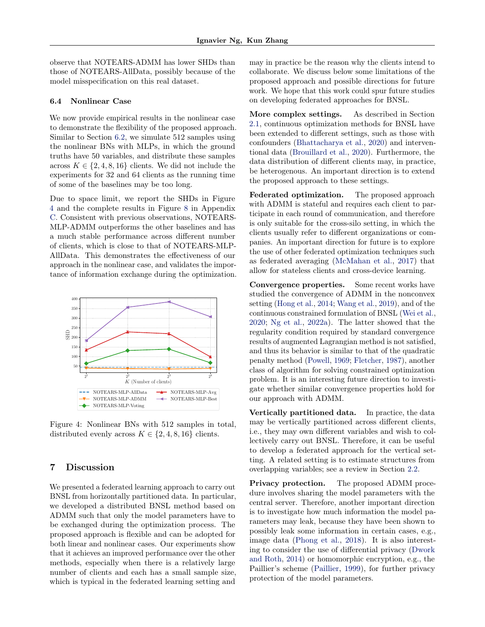observe that NOTEARS-ADMM has lower SHDs than those of NOTEARS-AllData, possibly because of the model misspecification on this real dataset.

#### <span id="page-8-1"></span>6.4 Nonlinear Case

We now provide empirical results in the nonlinear case to demonstrate the flexibility of the proposed approach. Similar to Section [6.2,](#page-6-1) we simulate 512 samples using the nonlinear BNs with MLPs, in which the ground truths have 50 variables, and distribute these samples across  $K \in \{2, 4, 8, 16\}$  clients. We did not include the experiments for 32 and 64 clients as the running time of some of the baselines may be too long.

Due to space limit, we report the SHDs in Figure [4](#page-8-2) and the complete results in Figure [8](#page-16-1) in Appendix [C.](#page-14-1) Consistent with previous observations, NOTEARS-MLP-ADMM outperforms the other baselines and has a much stable performance across different number of clients, which is close to that of NOTEARS-MLP-AllData. This demonstrates the effectiveness of our approach in the nonlinear case, and validates the importance of information exchange during the optimization.

<span id="page-8-2"></span>

Figure 4: Nonlinear BNs with 512 samples in total, distributed evenly across  $K \in \{2, 4, 8, 16\}$  clients.

# <span id="page-8-0"></span>7 Discussion

We presented a federated learning approach to carry out BNSL from horizontally partitioned data. In particular, we developed a distributed BNSL method based on ADMM such that only the model parameters have to be exchanged during the optimization process. The proposed approach is flexible and can be adopted for both linear and nonlinear cases. Our experiments show that it achieves an improved performance over the other methods, especially when there is a relatively large number of clients and each has a small sample size, which is typical in the federated learning setting and

may in practice be the reason why the clients intend to collaborate. We discuss below some limitations of the proposed approach and possible directions for future work. We hope that this work could spur future studies on developing federated approaches for BNSL.

More complex settings. As described in Section [2.1,](#page-1-2) continuous optimization methods for BNSL have been extended to different settings, such as those with confounders [\(Bhattacharya et al.,](#page-9-4) [2020\)](#page-9-4) and interventional data [\(Brouillard et al.,](#page-9-3) [2020\)](#page-9-3). Furthermore, the data distribution of different clients may, in practice, be heterogenous. An important direction is to extend the proposed approach to these settings.

Federated optimization. The proposed approach with ADMM is stateful and requires each client to participate in each round of communication, and therefore is only suitable for the cross-silo setting, in which the clients usually refer to different organizations or companies. An important direction for future is to explore the use of other federated optimization techniques such as federated averaging [\(McMahan et al.,](#page-10-4) [2017\)](#page-10-4) that allow for stateless clients and cross-device learning.

Convergence properties. Some recent works have studied the convergence of ADMM in the nonconvex setting [\(Hong et al.,](#page-10-20) [2014;](#page-10-20) [Wang et al.,](#page-11-23) [2019\)](#page-11-23), and of the continuous constrained formulation of BNSL [\(Wei et al.,](#page-11-24) [2020;](#page-11-24) [Ng et al.,](#page-10-21) [2022a\)](#page-10-21). The latter showed that the regularity condition required by standard convergence results of augmented Lagrangian method is not satisfied, and thus its behavior is similar to that of the quadratic penalty method [\(Powell,](#page-11-25) [1969;](#page-11-25) [Fletcher,](#page-9-23) [1987\)](#page-9-23), another class of algorithm for solving constrained optimization problem. It is an interesting future direction to investigate whether similar convergence properties hold for our approach with ADMM.

Vertically partitioned data. In practice, the data may be vertically partitioned across different clients, i.e., they may own different variables and wish to collectively carry out BNSL. Therefore, it can be useful to develop a federated approach for the vertical setting. A related setting is to estimate structures from overlapping variables; see a review in Section [2.2.](#page-1-3)

Privacy protection. The proposed ADMM procedure involves sharing the model parameters with the central server. Therefore, another important direction is to investigate how much information the model parameters may leak, because they have been shown to possibly leak some information in certain cases, e.g., image data [\(Phong et al.,](#page-11-26) [2018\)](#page-11-26). It is also interesting to consider the use of differential privacy [\(Dwork](#page-9-24) [and Roth,](#page-9-24) [2014\)](#page-9-24) or homomorphic encryption, e.g., the Paillier's scheme [\(Paillier,](#page-10-14) [1999\)](#page-10-14), for further privacy protection of the model parameters.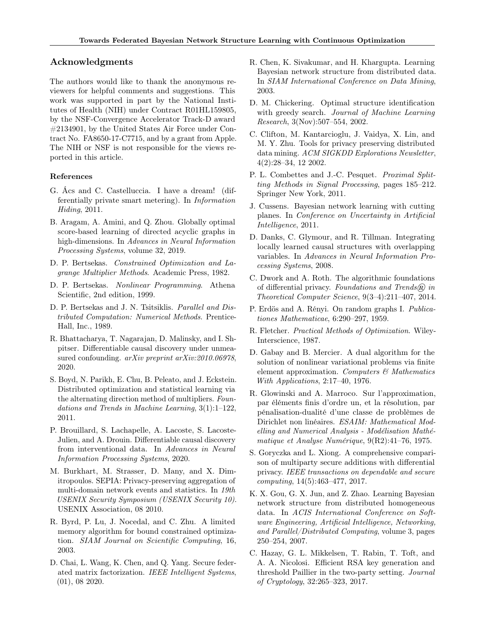## Acknowledgments

The authors would like to thank the anonymous reviewers for helpful comments and suggestions. This work was supported in part by the National Institutes of Health (NIH) under Contract R01HL159805, by the NSF-Convergence Accelerator Track-D award #2134901, by the United States Air Force under Contract No. FA8650-17-C7715, and by a grant from Apple. The NIH or NSF is not responsible for the views reported in this article.

## References

- <span id="page-9-8"></span>G. Ács and C. Castelluccia. I have a dream! (differentially private smart metering). In Information Hiding, 2011.
- <span id="page-9-21"></span>B. Aragam, A. Amini, and Q. Zhou. Globally optimal score-based learning of directed acyclic graphs in high-dimensions. In Advances in Neural Information Processing Systems, volume 32, 2019.
- <span id="page-9-17"></span>D. P. Bertsekas. Constrained Optimization and Lagrange Multiplier Methods. Academic Press, 1982.
- <span id="page-9-18"></span>D. P. Bertsekas. Nonlinear Programming. Athena Scientific, 2nd edition, 1999.
- <span id="page-9-16"></span>D. P. Bertsekas and J. N. Tsitsiklis. *Parallel and Dis*tributed Computation: Numerical Methods. Prentice-Hall, Inc., 1989.
- <span id="page-9-4"></span>R. Bhattacharya, T. Nagarajan, D. Malinsky, and I. Shpitser. Differentiable causal discovery under unmeasured confounding. *arXiv preprint arXiv:2010.06978*, 2020.
- <span id="page-9-15"></span>S. Boyd, N. Parikh, E. Chu, B. Peleato, and J. Eckstein. Distributed optimization and statistical learning via the alternating direction method of multipliers. Foundations and Trends in Machine Learning, 3(1):1–122, 2011.
- <span id="page-9-3"></span>P. Brouillard, S. Lachapelle, A. Lacoste, S. Lacoste-Julien, and A. Drouin. Differentiable causal discovery from interventional data. In Advances in Neural Information Processing Systems, 2020.
- <span id="page-9-10"></span>M. Burkhart, M. Strasser, D. Many, and X. Dimitropoulos. SEPIA: Privacy-preserving aggregation of multi-domain network events and statistics. In 19th USENIX Security Symposium (USENIX Security 10). USENIX Association, 08 2010.
- <span id="page-9-20"></span>R. Byrd, P. Lu, J. Nocedal, and C. Zhu. A limited memory algorithm for bound constrained optimization. SIAM Journal on Scientific Computing, 16, 2003.
- <span id="page-9-0"></span>D. Chai, L. Wang, K. Chen, and Q. Yang. Secure federated matrix factorization. IEEE Intelligent Systems, (01), 08 2020.
- <span id="page-9-7"></span>R. Chen, K. Sivakumar, and H. Khargupta. Learning Bayesian network structure from distributed data. In SIAM International Conference on Data Mining, 2003.
- <span id="page-9-1"></span>D. M. Chickering. Optimal structure identification with greedy search. Journal of Machine Learning Research, 3(Nov):507–554, 2002.
- <span id="page-9-11"></span>C. Clifton, M. Kantarcioglu, J. Vaidya, X. Lin, and M. Y. Zhu. Tools for privacy preserving distributed data mining. ACM SIGKDD Explorations Newsletter, 4(2):28–34, 12 2002.
- <span id="page-9-19"></span>P. L. Combettes and J.-C. Pesquet. Proximal Splitting Methods in Signal Processing, pages 185–212. Springer New York, 2011.
- <span id="page-9-2"></span>J. Cussens. Bayesian network learning with cutting planes. In Conference on Uncertainty in Artificial Intelligence, 2011.
- <span id="page-9-5"></span>D. Danks, C. Glymour, and R. Tillman. Integrating locally learned causal structures with overlapping variables. In Advances in Neural Information Processing Systems, 2008.
- <span id="page-9-24"></span>C. Dwork and A. Roth. The algorithmic foundations of differential privacy. Foundations and Trends $\widehat{R}$  in Theoretical Computer Science, 9(3–4):211–407, 2014.
- <span id="page-9-22"></span>P. Erdös and A. Rényi. On random graphs I. Publicationes Mathematicae, 6:290–297, 1959.
- <span id="page-9-23"></span>R. Fletcher. Practical Methods of Optimization. Wiley-Interscience, 1987.
- <span id="page-9-14"></span>D. Gabay and B. Mercier. A dual algorithm for the solution of nonlinear variational problems via finite element approximation. Computers  $\mathcal{C}$  Mathematics With Applications, 2:17–40, 1976.
- <span id="page-9-13"></span>R. Glowinski and A. Marroco. Sur l'approximation, par éléments finis d'ordre un, et la résolution, par pénalisation-dualité d'une classe de problèmes de Dirichlet non linéaires. ESAIM: Mathematical Modelling and Numerical Analysis - Modélisation Mathématique et Analyse Numérique, 9(R2):41–76, 1975.
- <span id="page-9-12"></span>S. Goryczka and L. Xiong. A comprehensive comparison of multiparty secure additions with differential privacy. IEEE transactions on dependable and secure computing, 14(5):463–477, 2017.
- <span id="page-9-6"></span>K. X. Gou, G. X. Jun, and Z. Zhao. Learning Bayesian network structure from distributed homogeneous data. In ACIS International Conference on Software Engineering, Artificial Intelligence, Networking, and Parallel/Distributed Computing, volume 3, pages 250–254, 2007.
- <span id="page-9-9"></span>C. Hazay, G. L. Mikkelsen, T. Rabin, T. Toft, and A. A. Nicolosi. Efficient RSA key generation and threshold Paillier in the two-party setting. Journal of Cryptology, 32:265–323, 2017.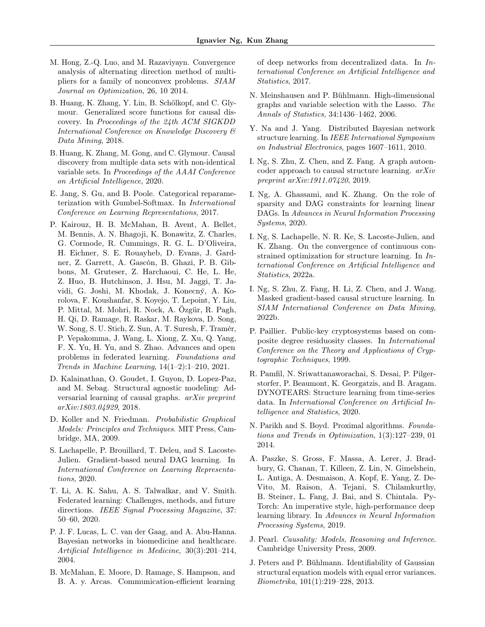- <span id="page-10-20"></span>M. Hong, Z.-Q. Luo, and M. Razaviyayn. Convergence analysis of alternating direction method of multipliers for a family of nonconvex problems. SIAM Journal on Optimization, 26, 10 2014.
- <span id="page-10-15"></span>B. Huang, K. Zhang, Y. Lin, B. Schölkopf, and C. Glymour. Generalized score functions for causal discovery. In Proceedings of the 24th ACM SIGKDD International Conference on Knowledge Discovery & Data Mining, 2018.
- <span id="page-10-13"></span>B. Huang, K. Zhang, M. Gong, and C. Glymour. Causal discovery from multiple data sets with non-identical variable sets. In Proceedings of the AAAI Conference on Artificial Intelligence, 2020.
- <span id="page-10-18"></span>E. Jang, S. Gu, and B. Poole. Categorical reparameterization with Gumbel-Softmax. In International Conference on Learning Representations, 2017.
- <span id="page-10-6"></span>P. Kairouz, H. B. McMahan, B. Avent, A. Bellet, M. Bennis, A. N. Bhagoji, K. Bonawitz, Z. Charles, G. Cormode, R. Cummings, R. G. L. D'Oliveira, H. Eichner, S. E. Rouayheb, D. Evans, J. Gardner, Z. Garrett, A. Gascón, B. Ghazi, P. B. Gibbons, M. Gruteser, Z. Harchaoui, C. He, L. He, Z. Huo, B. Hutchinson, J. Hsu, M. Jaggi, T. Javidi, G. Joshi, M. Khodak, J. Konecný, A. Korolova, F. Koushanfar, S. Koyejo, T. Lepoint, Y. Liu, P. Mittal, M. Mohri, R. Nock, A. Özgür, R. Pagh, H. Qi, D. Ramage, R. Raskar, M. Raykova, D. Song, W. Song, S. U. Stich, Z. Sun, A. T. Suresh, F. Tramèr, P. Vepakomma, J. Wang, L. Xiong, Z. Xu, Q. Yang, F. X. Yu, H. Yu, and S. Zhao. Advances and open problems in federated learning. Foundations and Trends in Machine Learning, 14(1–2):1–210, 2021.
- <span id="page-10-7"></span>D. Kalainathan, O. Goudet, I. Guyon, D. Lopez-Paz, and M. Sebag. Structural agnostic modeling: Adversarial learning of causal graphs. arXiv preprint arXiv:1803.04929, 2018.
- <span id="page-10-0"></span>D. Koller and N. Friedman. Probabilistic Graphical Models: Principles and Techniques. MIT Press, Cambridge, MA, 2009.
- <span id="page-10-10"></span>S. Lachapelle, P. Brouillard, T. Deleu, and S. Lacoste-Julien. Gradient-based neural DAG learning. In International Conference on Learning Representations, 2020.
- <span id="page-10-5"></span>T. Li, A. K. Sahu, A. S. Talwalkar, and V. Smith. Federated learning: Challenges, methods, and future directions. IEEE Signal Processing Magazine, 37: 50–60, 2020.
- <span id="page-10-2"></span>P. J. F. Lucas, L. C. van der Gaag, and A. Abu-Hanna. Bayesian networks in biomedicine and healthcare. Artificial Intelligence in Medicine, 30(3):201–214, 2004.
- <span id="page-10-4"></span>B. McMahan, E. Moore, D. Ramage, S. Hampson, and B. A. y. Arcas. Communication-efficient learning

of deep networks from decentralized data. In International Conference on Artificial Intelligence and Statistics, 2017.

- <span id="page-10-17"></span>N. Meinshausen and P. Bühlmann. High-dimensional graphs and variable selection with the Lasso. The Annals of Statistics, 34:1436–1462, 2006.
- <span id="page-10-3"></span>Y. Na and J. Yang. Distributed Bayesian network structure learning. In IEEE International Symposium on Industrial Electronics, pages 1607–1611, 2010.
- <span id="page-10-8"></span>I. Ng, S. Zhu, Z. Chen, and Z. Fang. A graph autoencoder approach to causal structure learning. arXiv preprint arXiv:1911.07420, 2019.
- <span id="page-10-12"></span>I. Ng, A. Ghassami, and K. Zhang. On the role of sparsity and DAG constraints for learning linear DAGs. In Advances in Neural Information Processing Systems, 2020.
- <span id="page-10-21"></span>I. Ng, S. Lachapelle, N. R. Ke, S. Lacoste-Julien, and K. Zhang. On the convergence of continuous constrained optimization for structure learning. In International Conference on Artificial Intelligence and Statistics, 2022a.
- <span id="page-10-9"></span>I. Ng, S. Zhu, Z. Fang, H. Li, Z. Chen, and J. Wang. Masked gradient-based causal structure learning. In SIAM International Conference on Data Mining, 2022b.
- <span id="page-10-14"></span>P. Paillier. Public-key cryptosystems based on composite degree residuosity classes. In International Conference on the Theory and Applications of Cryptographic Techniques, 1999.
- <span id="page-10-11"></span>R. Pamfil, N. Sriwattanaworachai, S. Desai, P. Pilgerstorfer, P. Beaumont, K. Georgatzis, and B. Aragam. DYNOTEARS: Structure learning from time-series data. In International Conference on Artificial Intelligence and Statistics, 2020.
- <span id="page-10-16"></span>N. Parikh and S. Boyd. Proximal algorithms. Foundations and Trends in Optimization, 1(3):127–239, 01 2014.
- <span id="page-10-22"></span>A. Paszke, S. Gross, F. Massa, A. Lerer, J. Bradbury, G. Chanan, T. Killeen, Z. Lin, N. Gimelshein, L. Antiga, A. Desmaison, A. Kopf, E. Yang, Z. De-Vito, M. Raison, A. Tejani, S. Chilamkurthy, B. Steiner, L. Fang, J. Bai, and S. Chintala. Py-Torch: An imperative style, high-performance deep learning library. In Advances in Neural Information Processing Systems, 2019.
- <span id="page-10-1"></span>J. Pearl. Causality: Models, Reasoning and Inference. Cambridge University Press, 2009.
- <span id="page-10-19"></span>J. Peters and P. Bühlmann. Identifiability of Gaussian structural equation models with equal error variances. Biometrika, 101(1):219–228, 2013.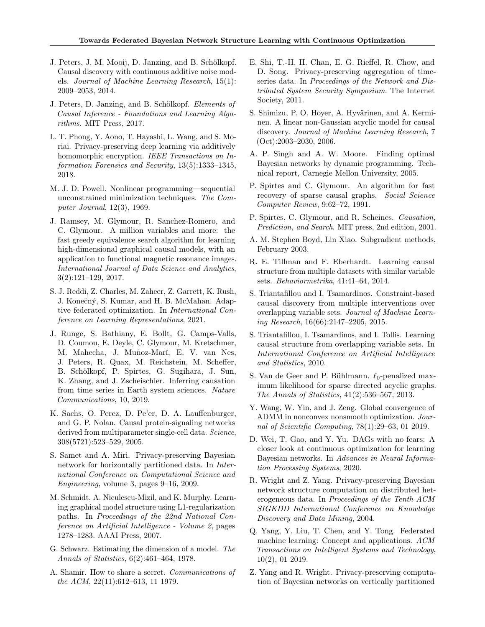- <span id="page-11-20"></span>J. Peters, J. M. Mooij, D. Janzing, and B. Schölkopf. Causal discovery with continuous additive noise models. Journal of Machine Learning Research, 15(1): 2009–2053, 2014.
- <span id="page-11-1"></span>J. Peters, D. Janzing, and B. Schölkopf. Elements of Causal Inference - Foundations and Learning Algorithms. MIT Press, 2017.
- <span id="page-11-26"></span>L. T. Phong, Y. Aono, T. Hayashi, L. Wang, and S. Moriai. Privacy-preserving deep learning via additively homomorphic encryption. IEEE Transactions on Information Forensics and Security, 13(5):1333–1345, 2018.
- <span id="page-11-25"></span>M. J. D. Powell. Nonlinear programming—sequential unconstrained minimization techniques. The Computer Journal, 12(3), 1969.
- <span id="page-11-21"></span>J. Ramsey, M. Glymour, R. Sanchez-Romero, and C. Glymour. A million variables and more: the fast greedy equivalence search algorithm for learning high-dimensional graphical causal models, with an application to functional magnetic resonance images. International Journal of Data Science and Analytics, 3(2):121–129, 2017.
- <span id="page-11-17"></span>S. J. Reddi, Z. Charles, M. Zaheer, Z. Garrett, K. Rush, J. Konečný, S. Kumar, and H. B. McMahan. Adaptive federated optimization. In International Conference on Learning Representations, 2021.
- <span id="page-11-2"></span>J. Runge, S. Bathiany, E. Bollt, G. Camps-Valls, D. Coumou, E. Deyle, C. Glymour, M. Kretschmer, M. Mahecha, J. Muñoz-Marí, E. V. van Nes, J. Peters, R. Quax, M. Reichstein, M. Scheffer, B. Schölkopf, P. Spirtes, G. Sugihara, J. Sun, K. Zhang, and J. Zscheischler. Inferring causation from time series in Earth system sciences. Nature Communications, 10, 2019.
- <span id="page-11-22"></span>K. Sachs, O. Perez, D. Pe'er, D. A. Lauffenburger, and G. P. Nolan. Causal protein-signaling networks derived from multiparameter single-cell data. Science, 308(5721):523–529, 2005.
- <span id="page-11-9"></span>S. Samet and A. Miri. Privacy-preserving Bayesian network for horizontally partitioned data. In International Conference on Computational Science and Engineering, volume 3, pages 9–16, 2009.
- <span id="page-11-19"></span>M. Schmidt, A. Niculescu-Mizil, and K. Murphy. Learning graphical model structure using L1-regularization paths. In Proceedings of the 22nd National Conference on Artificial Intelligence - Volume 2, pages 1278–1283. AAAI Press, 2007.
- <span id="page-11-12"></span>G. Schwarz. Estimating the dimension of a model. The Annals of Statistics, 6(2):461–464, 1978.
- <span id="page-11-15"></span>A. Shamir. How to share a secret. Communications of the ACM, 22(11):612–613, 11 1979.
- <span id="page-11-14"></span>E. Shi, T.-H. H. Chan, E. G. Rieffel, R. Chow, and D. Song. Privacy-preserving aggregation of timeseries data. In Proceedings of the Network and Distributed System Security Symposium. The Internet Society, 2011.
- <span id="page-11-8"></span>S. Shimizu, P. O. Hoyer, A. Hyvärinen, and A. Kerminen. A linear non-Gaussian acyclic model for causal discovery. Journal of Machine Learning Research, 7 (Oct):2003–2030, 2006.
- <span id="page-11-4"></span>A. P. Singh and A. W. Moore. Finding optimal Bayesian networks by dynamic programming. Technical report, Carnegie Mellon University, 2005.
- <span id="page-11-13"></span>P. Spirtes and C. Glymour. An algorithm for fast recovery of sparse causal graphs. Social Science Computer Review, 9:62–72, 1991.
- <span id="page-11-0"></span>P. Spirtes, C. Glymour, and R. Scheines. Causation, Prediction, and Search. MIT press, 2nd edition, 2001.
- <span id="page-11-18"></span>A. M. Stephen Boyd, Lin Xiao. Subgradient methods, February 2003.
- <span id="page-11-6"></span>R. E. Tillman and F. Eberhardt. Learning causal structure from multiple datasets with similar variable sets. Behaviormetrika, 41:41–64, 2014.
- <span id="page-11-5"></span>S. Triantafillou and I. Tsamardinos. Constraint-based causal discovery from multiple interventions over overlapping variable sets. Journal of Machine Learning Research, 16(66):2147–2205, 2015.
- <span id="page-11-7"></span>S. Triantafillou, I. Tsamardinos, and I. Tollis. Learning causal structure from overlapping variable sets. In International Conference on Artificial Intelligence and Statistics, 2010.
- <span id="page-11-16"></span>S. Van de Geer and P. Bühlmann.  $\ell_0$ -penalized maximum likelihood for sparse directed acyclic graphs. The Annals of Statistics, 41(2):536–567, 2013.
- <span id="page-11-23"></span>Y. Wang, W. Yin, and J. Zeng. Global convergence of ADMM in nonconvex nonsmooth optimization. Journal of Scientific Computing, 78(1):29–63, 01 2019.
- <span id="page-11-24"></span>D. Wei, T. Gao, and Y. Yu. DAGs with no fears: A closer look at continuous optimization for learning Bayesian networks. In Advances in Neural Information Processing Systems, 2020.
- <span id="page-11-10"></span>R. Wright and Z. Yang. Privacy-preserving Bayesian network structure computation on distributed heterogeneous data. In Proceedings of the Tenth ACM SIGKDD International Conference on Knowledge Discovery and Data Mining, 2004.
- <span id="page-11-3"></span>Q. Yang, Y. Liu, T. Chen, and Y. Tong. Federated machine learning: Concept and applications. ACM Transactions on Intelligent Systems and Technology, 10(2), 01 2019.
- <span id="page-11-11"></span>Z. Yang and R. Wright. Privacy-preserving computation of Bayesian networks on vertically partitioned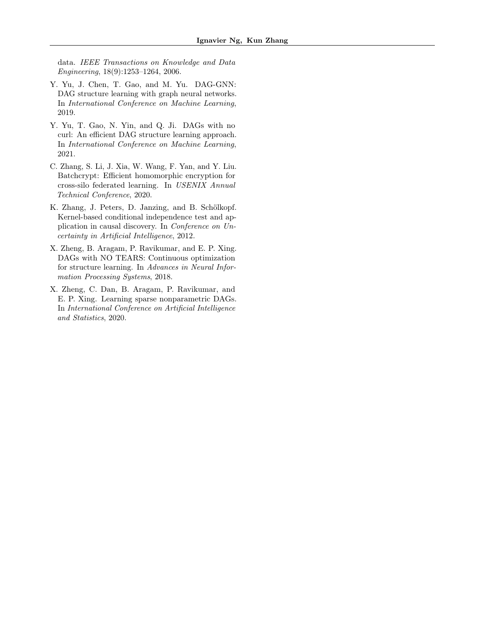data. IEEE Transactions on Knowledge and Data Engineering, 18(9):1253–1264, 2006.

- <span id="page-12-2"></span>Y. Yu, J. Chen, T. Gao, and M. Yu. DAG-GNN: DAG structure learning with graph neural networks. In International Conference on Machine Learning, 2019.
- <span id="page-12-3"></span>Y. Yu, T. Gao, N. Yin, and Q. Ji. DAGs with no curl: An efficient DAG structure learning approach. In International Conference on Machine Learning, 2021.
- <span id="page-12-5"></span>C. Zhang, S. Li, J. Xia, W. Wang, F. Yan, and Y. Liu. Batchcrypt: Efficient homomorphic encryption for cross-silo federated learning. In USENIX Annual Technical Conference, 2020.
- <span id="page-12-4"></span>K. Zhang, J. Peters, D. Janzing, and B. Schölkopf. Kernel-based conditional independence test and application in causal discovery. In Conference on Uncertainty in Artificial Intelligence, 2012.
- <span id="page-12-0"></span>X. Zheng, B. Aragam, P. Ravikumar, and E. P. Xing. DAGs with NO TEARS: Continuous optimization for structure learning. In Advances in Neural Information Processing Systems, 2018.
- <span id="page-12-1"></span>X. Zheng, C. Dan, B. Aragam, P. Ravikumar, and E. P. Xing. Learning sparse nonparametric DAGs. In International Conference on Artificial Intelligence and Statistics, 2020.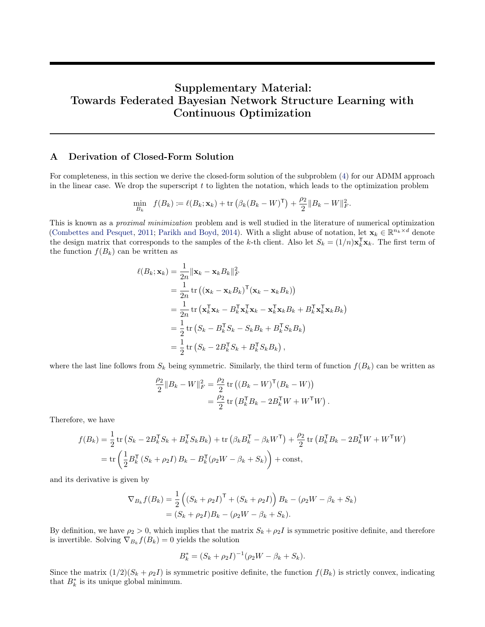# Supplementary Material: Towards Federated Bayesian Network Structure Learning with Continuous Optimization

# <span id="page-13-0"></span>A Derivation of Closed-Form Solution

For completeness, in this section we derive the closed-form solution of the subproblem [\(4\)](#page-4-0) for our ADMM approach in the linear case. We drop the superscript  $t$  to lighten the notation, which leads to the optimization problem

$$
\min_{B_k} f(B_k) \coloneqq \ell(B_k; \mathbf{x}_k) + \text{tr} \left( \beta_k (B_k - W)^{\mathsf{T}} \right) + \frac{\rho_2}{2} \| B_k - W \|_F^2.
$$

This is known as a proximal minimization problem and is well studied in the literature of numerical optimization [\(Combettes and Pesquet,](#page-9-19) [2011;](#page-9-19) [Parikh and Boyd,](#page-10-16) [2014\)](#page-10-16). With a slight abuse of notation, let  $\mathbf{x}_k \in \mathbb{R}^{n_k \times d}$  denote the design matrix that corresponds to the samples of the k-th client. Also let  $S_k = (1/n)\mathbf{x}_k^{\mathsf{T}}\mathbf{x}_k$ . The first term of the function  $f(B_k)$  can be written as

$$
\ell(B_k; \mathbf{x}_k) = \frac{1}{2n} ||\mathbf{x}_k - \mathbf{x}_k B_k||_F^2
$$
  
\n
$$
= \frac{1}{2n} \operatorname{tr} ((\mathbf{x}_k - \mathbf{x}_k B_k)^{\mathsf{T}} (\mathbf{x}_k - \mathbf{x}_k B_k))
$$
  
\n
$$
= \frac{1}{2n} \operatorname{tr} (\mathbf{x}_k^{\mathsf{T}} \mathbf{x}_k - B_k^{\mathsf{T}} \mathbf{x}_k^{\mathsf{T}} \mathbf{x}_k - \mathbf{x}_k^{\mathsf{T}} \mathbf{x}_k B_k + B_k^{\mathsf{T}} \mathbf{x}_k^{\mathsf{T}} \mathbf{x}_k B_k)
$$
  
\n
$$
= \frac{1}{2} \operatorname{tr} (S_k - B_k^{\mathsf{T}} S_k - S_k B_k + B_k^{\mathsf{T}} S_k B_k)
$$
  
\n
$$
= \frac{1}{2} \operatorname{tr} (S_k - 2B_k^{\mathsf{T}} S_k + B_k^{\mathsf{T}} S_k B_k),
$$

where the last line follows from  $S_k$  being symmetric. Similarly, the third term of function  $f(B_k)$  can be written as

$$
\frac{\rho_2}{2} \|B_k - W\|_F^2 = \frac{\rho_2}{2} \operatorname{tr} ( (B_k - W)^{\mathsf{T}} (B_k - W) )
$$
  
=  $\frac{\rho_2}{2} \operatorname{tr} (B_k^{\mathsf{T}} B_k - 2B_k^{\mathsf{T}} W + W^{\mathsf{T}} W).$ 

Therefore, we have

$$
f(B_k) = \frac{1}{2} \operatorname{tr} \left( S_k - 2B_k^{\mathsf{T}} S_k + B_k^{\mathsf{T}} S_k B_k \right) + \operatorname{tr} \left( \beta_k B_k^{\mathsf{T}} - \beta_k W^{\mathsf{T}} \right) + \frac{\rho_2}{2} \operatorname{tr} \left( B_k^{\mathsf{T}} B_k - 2B_k^{\mathsf{T}} W + W^{\mathsf{T}} W \right)
$$
  
= 
$$
\operatorname{tr} \left( \frac{1}{2} B_k^{\mathsf{T}} \left( S_k + \rho_2 I \right) B_k - B_k^{\mathsf{T}} (\rho_2 W - \beta_k + S_k) \right) + \text{const},
$$

and its derivative is given by

$$
\nabla_{B_k} f(B_k) = \frac{1}{2} \left( (S_k + \rho_2 I)^{\mathsf{T}} + (S_k + \rho_2 I) \right) B_k - (\rho_2 W - \beta_k + S_k)
$$
  
=  $(S_k + \rho_2 I) B_k - (\rho_2 W - \beta_k + S_k).$ 

By definition, we have  $\rho_2 > 0$ , which implies that the matrix  $S_k + \rho_2 I$  is symmetric positive definite, and therefore is invertible. Solving  $\nabla_{B_k} f(B_k) = 0$  yields the solution

$$
B_k^* = (S_k + \rho_2 I)^{-1} (\rho_2 W - \beta_k + S_k).
$$

Since the matrix  $(1/2)(S_k + \rho_2 I)$  is symmetric positive definite, the function  $f(B_k)$  is strictly convex, indicating that  $B_k^*$  is its unique global minimum.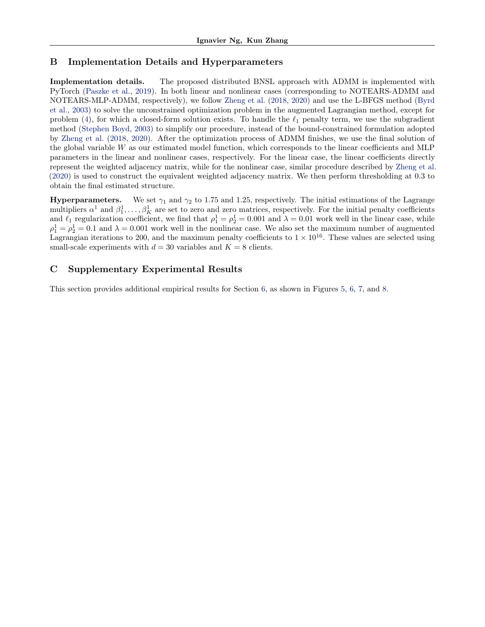# <span id="page-14-0"></span>B Implementation Details and Hyperparameters

Implementation details. The proposed distributed BNSL approach with ADMM is implemented with PyTorch [\(Paszke et al.,](#page-10-22) [2019\)](#page-10-22). In both linear and nonlinear cases (corresponding to NOTEARS-ADMM and NOTEARS-MLP-ADMM, respectively), we follow [Zheng et al.](#page-12-0) [\(2018,](#page-12-0) [2020\)](#page-12-1) and use the L-BFGS method [\(Byrd](#page-9-20) [et al.,](#page-9-20) [2003\)](#page-9-20) to solve the unconstrained optimization problem in the augmented Lagrangian method, except for problem [\(4\)](#page-4-0), for which a closed-form solution exists. To handle the  $\ell_1$  penalty term, we use the subgradient method [\(Stephen Boyd,](#page-11-18) [2003\)](#page-11-18) to simplify our procedure, instead of the bound-constrained formulation adopted by [Zheng et al.](#page-12-0) [\(2018,](#page-12-0) [2020\)](#page-12-1). After the optimization process of ADMM finishes, we use the final solution of the global variable W as our estimated model function, which corresponds to the linear coefficients and MLP parameters in the linear and nonlinear cases, respectively. For the linear case, the linear coefficients directly represent the weighted adjacency matrix, while for the nonlinear case, similar procedure described by [Zheng et al.](#page-12-1) [\(2020\)](#page-12-1) is used to construct the equivalent weighted adjacency matrix. We then perform thresholding at 0.3 to obtain the final estimated structure.

**Hyperparameters.** We set  $\gamma_1$  and  $\gamma_2$  to 1.75 and 1.25, respectively. The initial estimations of the Lagrange multipliers  $\alpha^1$  and  $\beta_1^1, \ldots, \beta_K^1$  are set to zero and zero matrices, respectively. For the initial penalty coefficients and  $\ell_1$  regularization coefficient, we find that  $\rho_1^1 = \rho_2^1 = 0.001$  and  $\lambda = 0.01$  work well in the linear case, while  $\rho_1^1 = \rho_2^1 = 0.1$  and  $\lambda = 0.001$  work well in the nonlinear case. We also set the maximum number of augmented Lagrangian iterations to 200, and the maximum penalty coefficients to  $1 \times 10^{16}$ . These values are selected using small-scale experiments with  $d = 30$  variables and  $K = 8$  clients.

# <span id="page-14-1"></span>C Supplementary Experimental Results

This section provides additional empirical results for Section [6,](#page-5-0) as shown in Figures [5,](#page-15-0) [6,](#page-15-1) [7,](#page-16-0) and [8.](#page-16-1)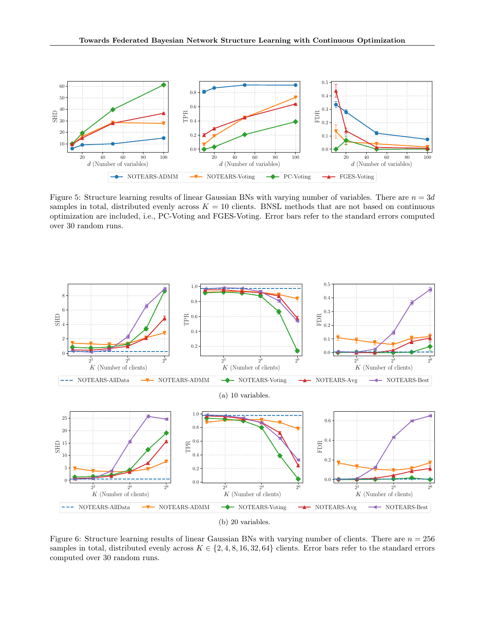<span id="page-15-0"></span>

Figure 5: Structure learning results of linear Gaussian BNs with varying number of variables. There are  $n = 3d$ samples in total, distributed evenly across  $K = 10$  clients. BNSL methods that are not based on continuous optimization are included, i.e., PC-Voting and FGES-Voting. Error bars refer to the standard errors computed over 30 random runs.

<span id="page-15-1"></span>

Figure 6: Structure learning results of linear Gaussian BNs with varying number of clients. There are  $n = 256$ samples in total, distributed evenly across  $K \in \{2, 4, 8, 16, 32, 64\}$  clients. Error bars refer to the standard errors computed over 30 random runs.